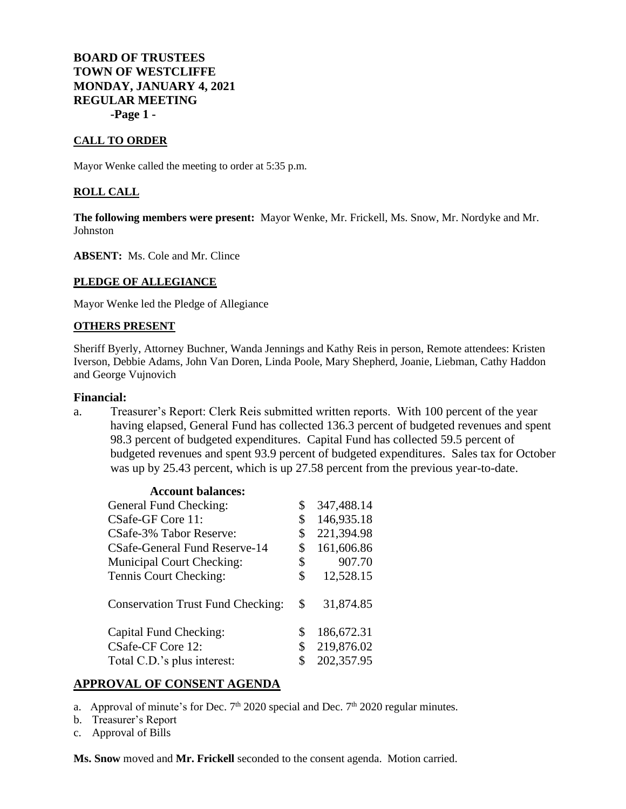**BOARD OF TRUSTEES TOWN OF WESTCLIFFE MONDAY, JANUARY 4, 2021 REGULAR MEETING -Page 1 -**

#### **CALL TO ORDER**

Mayor Wenke called the meeting to order at 5:35 p.m.

#### **ROLL CALL**

**The following members were present:** Mayor Wenke, Mr. Frickell, Ms. Snow, Mr. Nordyke and Mr. Johnston

**ABSENT:** Ms. Cole and Mr. Clince

#### **PLEDGE OF ALLEGIANCE**

Mayor Wenke led the Pledge of Allegiance

#### **OTHERS PRESENT**

Sheriff Byerly, Attorney Buchner, Wanda Jennings and Kathy Reis in person, Remote attendees: Kristen Iverson, Debbie Adams, John Van Doren, Linda Poole, Mary Shepherd, Joanie, Liebman, Cathy Haddon and George Vujnovich

#### **Financial:**

a. Treasurer's Report: Clerk Reis submitted written reports. With 100 percent of the year having elapsed, General Fund has collected 136.3 percent of budgeted revenues and spent 98.3 percent of budgeted expenditures. Capital Fund has collected 59.5 percent of budgeted revenues and spent 93.9 percent of budgeted expenditures. Sales tax for October was up by 25.43 percent, which is up 27.58 percent from the previous year-to-date.

| <b>Account balances:</b>                 |                  |
|------------------------------------------|------------------|
| General Fund Checking:                   | \$<br>347,488.14 |
| CSafe-GF Core 11:                        | \$<br>146,935.18 |
| CSafe-3% Tabor Reserve:                  | \$<br>221,394.98 |
| CSafe-General Fund Reserve-14            | \$<br>161,606.86 |
| <b>Municipal Court Checking:</b>         | \$<br>907.70     |
| Tennis Court Checking:                   | \$<br>12,528.15  |
| <b>Conservation Trust Fund Checking:</b> | \$<br>31,874.85  |
| Capital Fund Checking:                   | \$<br>186,672.31 |
| CSafe-CF Core 12:                        | \$<br>219,876.02 |
| Total C.D.'s plus interest:              | \$<br>202,357.95 |

#### **APPROVAL OF CONSENT AGENDA**

- a. Approval of minute's for Dec.  $7<sup>th</sup> 2020$  special and Dec.  $7<sup>th</sup> 2020$  regular minutes.
- b. Treasurer's Report
- c. Approval of Bills

**Ms. Snow** moved and **Mr. Frickell** seconded to the consent agenda. Motion carried.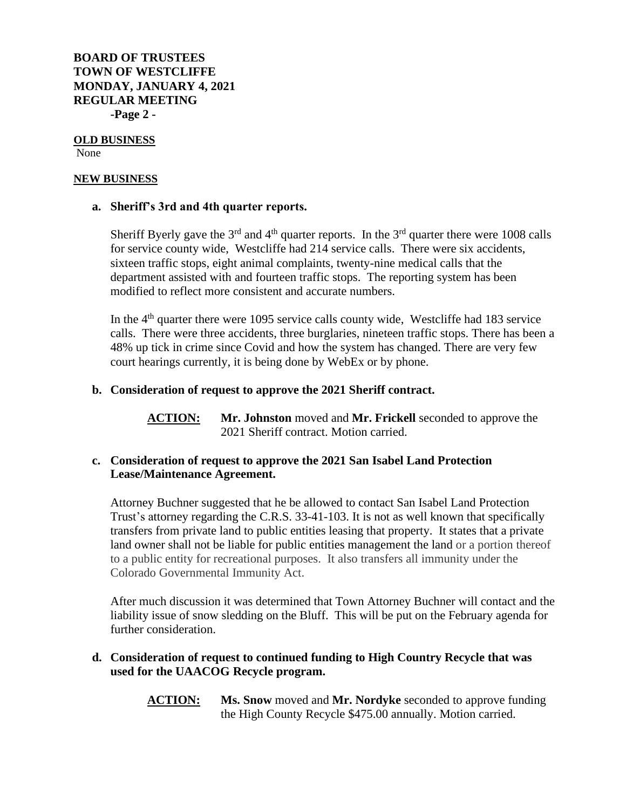**BOARD OF TRUSTEES TOWN OF WESTCLIFFE MONDAY, JANUARY 4, 2021 REGULAR MEETING -Page 2 -**

# **OLD BUSINESS**

None

## **NEW BUSINESS**

## **a. Sheriff's 3rd and 4th quarter reports.**

Sheriff Byerly gave the  $3<sup>rd</sup>$  and  $4<sup>th</sup>$  quarter reports. In the  $3<sup>rd</sup>$  quarter there were 1008 calls for service county wide, Westcliffe had 214 service calls. There were six accidents, sixteen traffic stops, eight animal complaints, twenty-nine medical calls that the department assisted with and fourteen traffic stops. The reporting system has been modified to reflect more consistent and accurate numbers.

In the  $4<sup>th</sup>$  quarter there were 1095 service calls county wide, Westcliffe had 183 service calls. There were three accidents, three burglaries, nineteen traffic stops. There has been a 48% up tick in crime since Covid and how the system has changed. There are very few court hearings currently, it is being done by WebEx or by phone.

# **b. Consideration of request to approve the 2021 Sheriff contract.**

**ACTION: Mr. Johnston** moved and **Mr. Frickell** seconded to approve the 2021 Sheriff contract. Motion carried.

# **c. Consideration of request to approve the 2021 San Isabel Land Protection Lease/Maintenance Agreement.**

Attorney Buchner suggested that he be allowed to contact San Isabel Land Protection Trust's attorney regarding the C.R.S. 33-41-103. It is not as well known that specifically transfers from private land to public entities leasing that property. It states that a private land owner shall not be liable for public entities management the land or a portion thereof to a public entity for recreational purposes. It also transfers all immunity under the Colorado Governmental Immunity Act.

After much discussion it was determined that Town Attorney Buchner will contact and the liability issue of snow sledding on the Bluff. This will be put on the February agenda for further consideration.

# **d. Consideration of request to continued funding to High Country Recycle that was used for the UAACOG Recycle program.**

**ACTION: Ms. Snow** moved and **Mr. Nordyke** seconded to approve funding the High County Recycle \$475.00 annually. Motion carried.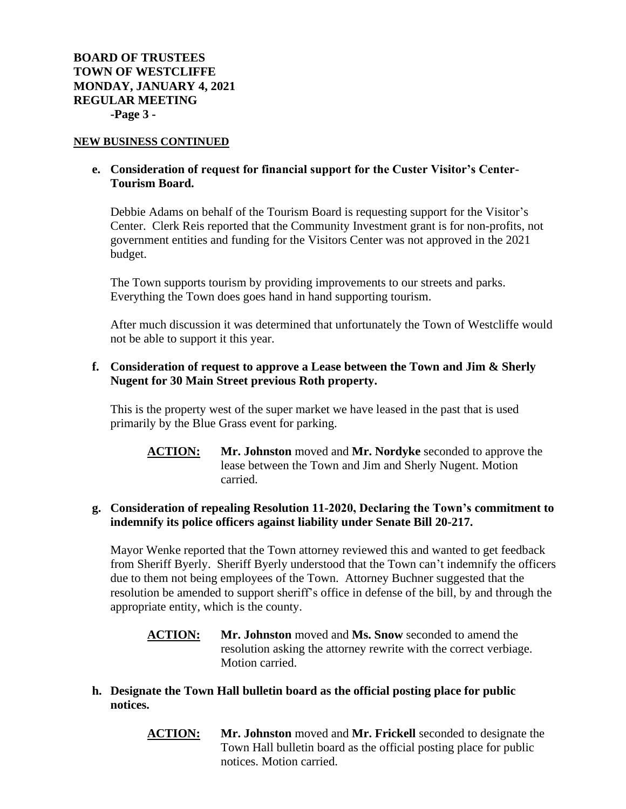#### **NEW BUSINESS CONTINUED**

## **e. Consideration of request for financial support for the Custer Visitor's Center-Tourism Board.**

Debbie Adams on behalf of the Tourism Board is requesting support for the Visitor's Center. Clerk Reis reported that the Community Investment grant is for non-profits, not government entities and funding for the Visitors Center was not approved in the 2021 budget.

The Town supports tourism by providing improvements to our streets and parks. Everything the Town does goes hand in hand supporting tourism.

After much discussion it was determined that unfortunately the Town of Westcliffe would not be able to support it this year.

## **f. Consideration of request to approve a Lease between the Town and Jim & Sherly Nugent for 30 Main Street previous Roth property.**

This is the property west of the super market we have leased in the past that is used primarily by the Blue Grass event for parking.

**ACTION: Mr. Johnston** moved and **Mr. Nordyke** seconded to approve the lease between the Town and Jim and Sherly Nugent. Motion carried.

# **g. Consideration of repealing Resolution 11-2020, Declaring the Town's commitment to indemnify its police officers against liability under Senate Bill 20-217.**

Mayor Wenke reported that the Town attorney reviewed this and wanted to get feedback from Sheriff Byerly. Sheriff Byerly understood that the Town can't indemnify the officers due to them not being employees of the Town. Attorney Buchner suggested that the resolution be amended to support sheriff's office in defense of the bill, by and through the appropriate entity, which is the county.

- **ACTION: Mr. Johnston** moved and **Ms. Snow** seconded to amend the resolution asking the attorney rewrite with the correct verbiage. Motion carried.
- **h. Designate the Town Hall bulletin board as the official posting place for public notices.**
	- **ACTION: Mr. Johnston** moved and **Mr. Frickell** seconded to designate the Town Hall bulletin board as the official posting place for public notices. Motion carried.